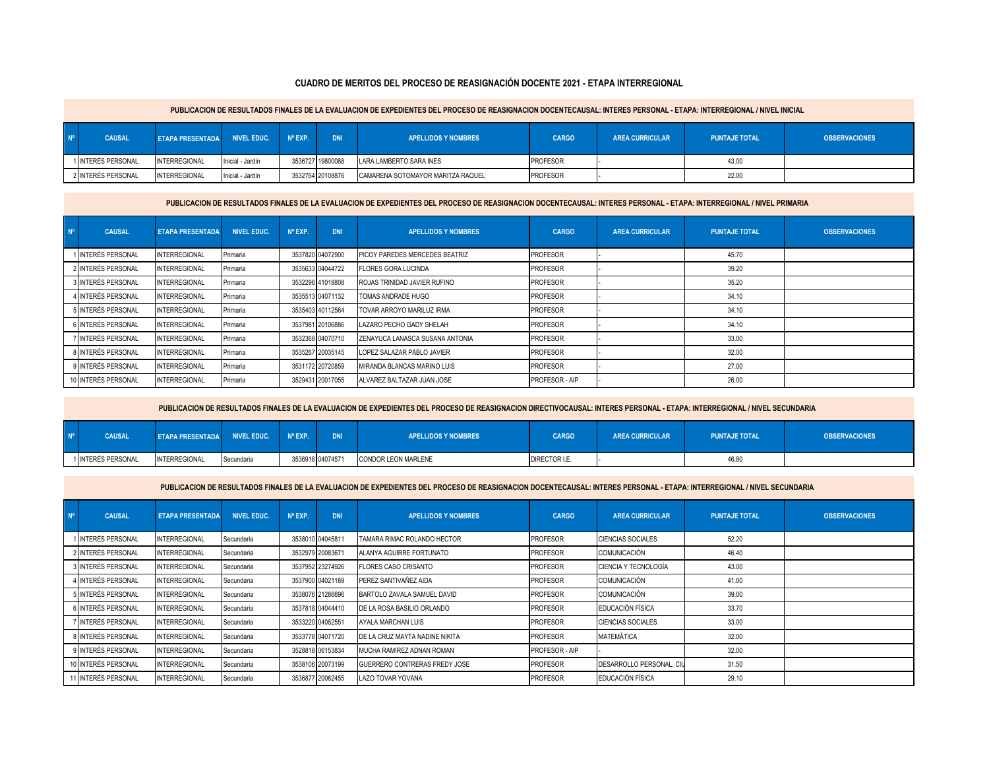## **CUADRO DE MERITOS DEL PROCESO DE REASIGNACIÓN DOCENTE 2021 - ETAPA INTERREGIONAL**

|                | PUBLICACION DE RESULTADOS FINALES DE LA EVALUACION DE EXPEDIENTES DEL PROCESO DE REASIGNACION DOCENTECAUSAL: INTERES PERSONAL - ETAPA: INTERREGIONAL / NIVEL INICIAL |                         |                  |                  |                  |                                   |                 |                        |                      |                      |  |  |
|----------------|----------------------------------------------------------------------------------------------------------------------------------------------------------------------|-------------------------|------------------|------------------|------------------|-----------------------------------|-----------------|------------------------|----------------------|----------------------|--|--|
| N <sup>o</sup> | <b>CAUSAL</b>                                                                                                                                                        | <b>ETAPA PRESENTADA</b> | NIVEL EDUC.      | $N^{\circ}$ EXP. | <b>DNI</b>       | <b>APELLIDOS Y NOMBRES</b>        | <b>CARGO</b>    | <b>AREA CURRICULAR</b> | <b>PUNTAJE TOTAL</b> | <b>OBSERVACIONES</b> |  |  |
|                | 1 INTERÉS PERSONAL                                                                                                                                                   | <b>INTERREGIONAL</b>    | Inicial - Jardín |                  | 3536727 19800088 | LARA LAMBERTO SARA INES           | <b>PROFESOR</b> |                        | 43.00                |                      |  |  |
|                | 2 INTERÉS PERSONAL                                                                                                                                                   | <b>INTERREGIONAL</b>    | Inicial - Jardín |                  | 3532764 20108876 | CAMARENA SOTOMAYOR MARITZA RAQUEL | PROFESOR        |                        | 22.00                |                      |  |  |

## PUBLICACION DE RESULTADOS FINALES DE LA EVALUACION DE EXPEDIENTES DEL PROCESO DE REASIGNACION DOCENTECAUSAL: INTERES PERSONAL - ETAPA: INTERREGIONAL / NIVEL PRIMARIA

| $N^{\circ}$ | <b>CAUSAL</b>       | <b>ETAPA PRESENTADA</b> | <b>NIVEL EDUC.</b> | $N^{\circ}$ EXP. | <b>DNI</b>       | <b>APELLIDOS Y NOMBRES</b>            | <b>CARGO</b>    | <b>AREA CURRICULAR</b> | <b>PUNTAJE TOTAL</b> | <b>OBSERVACIONES</b> |
|-------------|---------------------|-------------------------|--------------------|------------------|------------------|---------------------------------------|-----------------|------------------------|----------------------|----------------------|
|             | 1 INTERÉS PERSONAL  | NTERREGIONAL            | Primaria           |                  | 3537820 04072900 | <b>PICOY PAREDES MERCEDES BEATRIZ</b> | <b>PROFESOR</b> |                        | 45.70                |                      |
|             | 2 INTERÉS PERSONAL  | NTERREGIONAL            | Primaria           |                  | 3535633 04044722 | <b>FLORES GORA LUCINDA</b>            | <b>PROFESOR</b> |                        | 39.20                |                      |
|             | 3 INTERÉS PERSONAL  | NTERREGIONAL            | Primaria           |                  | 3532296 41018808 | ROJAS TRINIDAD JAVIER RUFINO          | <b>PROFESOR</b> |                        | 35.20                |                      |
|             | 4 INTERÉS PERSONAL  | <b>INTERREGIONAL</b>    | Primaria           |                  | 3535513 04071132 | TOMAS ANDRADE HUGO                    | <b>PROFESOR</b> |                        | 34.10                |                      |
|             | 5 INTERÉS PERSONAL  | <b>NTERREGIONAL</b>     | Primaria           |                  | 3535403 40112564 | TOVAR ARROYO MARILUZ IRMA             | <b>PROFESOR</b> |                        | 34.10                |                      |
|             | 6 INTERÉS PERSONAL  | NTERREGIONAL            | Primaria           |                  | 3537981 20106886 | LAZARO PECHO GADY SHELAH              | <b>PROFESOR</b> |                        | 34.10                |                      |
|             | 7 INTERÉS PERSONAL  | <b>NTERREGIONAL</b>     | Primaria           |                  | 3532368 04070710 | ZENAYUCA LANASCA SUSANA ANTONIA       | <b>PROFESOR</b> |                        | 33.00                |                      |
|             | 8 INTERÉS PERSONAL  | <b>NTERREGIONAL</b>     | Primaria           |                  | 3535267 20035145 | LOPEZ SALAZAR PABLO JAVIER            | <b>PROFESOR</b> |                        | 32.00                |                      |
|             | 9 INTERÉS PERSONAL  | <b>NTERREGIONAL</b>     | Primaria           |                  | 3531172 20720859 | MIRANDA BLANCAS MARINO LUIS           | <b>PROFESOR</b> |                        | 27.00                |                      |
|             | 10 INTERÉS PERSONAL | NTERREGIONAL            | Primaria           |                  | 3529431 20017055 | ALVAREZ BALTAZAR JUAN JOSE            | PROFESOR - AIP  |                        | 26.00                |                      |

PUBLICACION DE RESULTADOS FINALES DE LA EVALUACION DE EXPEDIENTES DEL PROCESO DE REASIGNACION DIRECTIVOCAUSAL: INTERES PERSONAL - ETAPA: INTERREGIONAL / NIVEL SECUNDARIA

| $N^{\circ}$ | <b>CAUSAL</b>      | ETAPA PRESENTADA NIVEL EDUC. Nº EXP. |            | <b>DNI</b>       | <b>APELLIDOS Y NOMBRES</b> | <b>CARGO</b>  | <b>AREA CURRICULAR</b> | <b>PUNTAJE TOTAL</b> | <b>OBSERVACIONES</b> |
|-------------|--------------------|--------------------------------------|------------|------------------|----------------------------|---------------|------------------------|----------------------|----------------------|
|             | 1 INTERÉS PERSONAL | <b>INTERREGIONAL</b>                 | Secundaria | 3536918 04074571 | CONDOR LEON MARLENE        | DIRECTOR I.E. |                        | 46.80                |                      |

PUBLICACION DE RESULTADOS FINALES DE LA EVALUACION DE EXPEDIENTES DEL PROCESO DE REASIGNACION DOCENTECAUSAL: INTERES PERSONAL - ETAPA: INTERREGIONAL / NIVEL SECUNDARIA

| $N^{\circ}$ | <b>CAUSAL</b>       | <b>ETAPA PRESENTADA</b> | <b>NIVEL EDUC.</b> | $N^{\circ}$ EXP. | <b>DNI</b>       | <b>APELLIDOS Y NOMBRES</b>           | <b>CARGO</b>          | <b>AREA CURRICULAR</b>   | <b>PUNTAJE TOTAL</b> | <b>OBSERVACIONES</b> |
|-------------|---------------------|-------------------------|--------------------|------------------|------------------|--------------------------------------|-----------------------|--------------------------|----------------------|----------------------|
|             | 1 INTERÉS PERSONAL  | <b>INTERREGIONAL</b>    | Secundaria         |                  | 3538010 04045811 | TAMARA RIMAC ROLANDO HECTOR          | <b>PROFESOR</b>       | <b>CIENCIAS SOCIALES</b> | 52.20                |                      |
|             | 2 INTERÉS PERSONAL  | <b>INTERREGIONAL</b>    | Secundaria         |                  | 3532979 20083671 | ALANYA AGUIRRE FORTUNATO             | <b>PROFESOR</b>       | COMUNICACIÓN             | 46.40                |                      |
|             | 3 INTERÉS PERSONAL  | <b>INTERREGIONAL</b>    | Secundaria         |                  | 3537952 23274926 | <b>FLORES CASO CRISANTO</b>          | <b>PROFESOR</b>       | CIENCIA Y TECNOLOGÍA     | 43.00                |                      |
|             | 4 INTERÉS PERSONAL  | <b>INTERREGIONAL</b>    | Secundaria         |                  | 3537900 04021189 | PEREZ SANTIVAÑEZ AIDA                | <b>PROFESOR</b>       | <b>COMUNICACIÓN</b>      | 41.00                |                      |
|             | 5 INTERÉS PERSONAL  | <b>INTERREGIONAL</b>    | Secundaria         |                  | 3538076 21286696 | BARTOLO ZAVALA SAMUEL DAVID          | <b>PROFESOR</b>       | COMUNICACIÓN             | 39.00                |                      |
|             | 6 INTERÉS PERSONAL  | <b>INTERREGIONAL</b>    | Secundaria         |                  | 3537818 04044410 | DE LA ROSA BASILIO ORLANDO           | <b>PROFESOR</b>       | EDUCACIÓN FÍSICA         | 33.70                |                      |
|             | 7 INTERÉS PERSONAL  | <b>INTERREGIONAL</b>    | Secundaria         |                  | 3533220 04082551 | AYALA MARCHAN LUIS                   | <b>PROFESOR</b>       | <b>CIENCIAS SOCIALES</b> | 33.00                |                      |
|             | 8 INTERÉS PERSONAL  | <b>INTERREGIONAL</b>    | Secundaria         |                  | 3533778 04071720 | DE LA CRUZ MAYTA NADINE NIKITA       | <b>PROFESOR</b>       | <b>MATEMÁTICA</b>        | 32.00                |                      |
|             | 9 INTERÉS PERSONAL  | <b>INTERREGIONAL</b>    | Secundaria         |                  | 3528818 06153834 | MUCHA RAMIREZ ADNAN ROMAN            | <b>PROFESOR - AIP</b> |                          | 32.00                |                      |
|             | 10 INTERÉS PERSONAL | <b>INTERREGIONAL</b>    | Secundaria         |                  | 3538106 20073199 | <b>GUERRERO CONTRERAS FREDY JOSE</b> | <b>PROFESOR</b>       | DESARROLLO PERSONAL, CIL | 31.50                |                      |
|             | 11 INTERÉS PERSONAL | <b>INTERREGIONAL</b>    | Secundaria         |                  | 3536877 20062455 | LAZO TOVAR YOVANA                    | <b>PROFESOR</b>       | EDUCACIÓN FÍSICA         | 29.10                |                      |